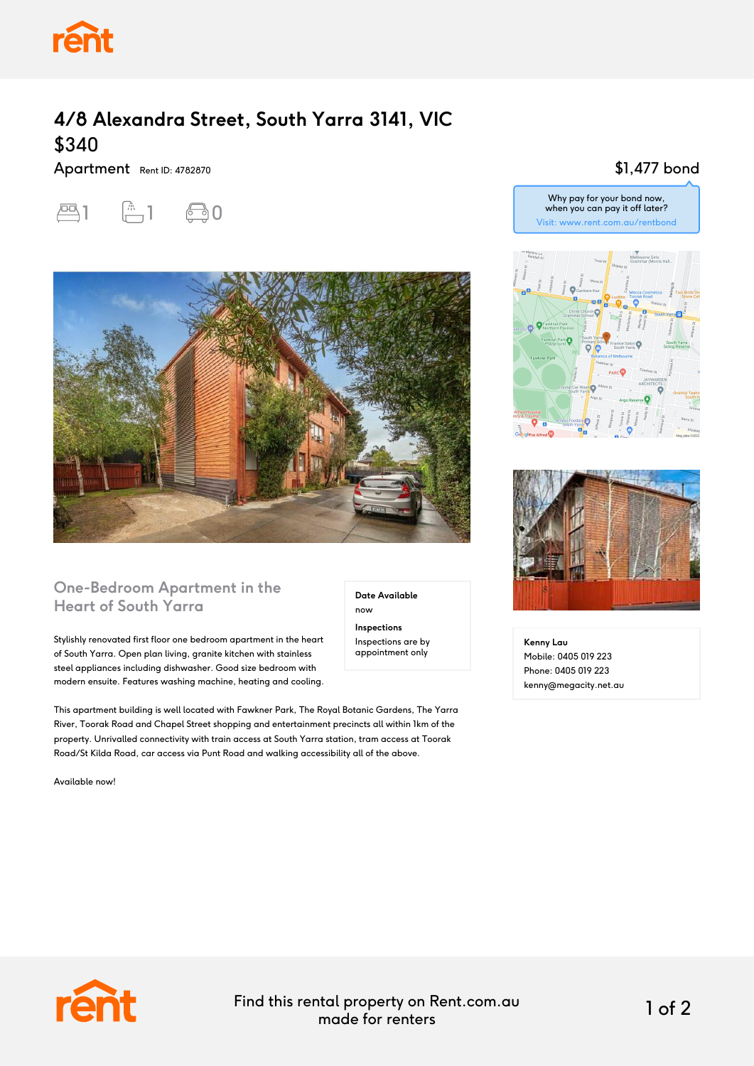

## **4/8 Alexandra Street, South Yarra 3141, VIC** \$340

Apartment Rent ID: 4782870





#### **One-Bedroom Apartment in the Heart of South Yarra**

Stylishly renovated first floor one bedroom apartment in the heart of South Yarra. Open plan living, granite kitchen with stainless steel appliances including dishwasher. Good size bedroom with modern ensuite. Features washing machine, heating and cooling.

This apartment building is well located with Fawkner Park, The Royal Botanic Gardens, The Yarra River, Toorak Road and Chapel Street shopping and entertainment precincts all within 1km of the property. Unrivalled connectivity with train access at South Yarra station, tram access at Toorak Road/St Kilda Road, car access via Punt Road and walking accessibility all of the above.

Available now!

**Date Available** now **Inspections** Inspections are by appointment only

### \$1,477 bond

Why pay for your bond now, when you can pay it off later? Visit: www.rent.com.au/rentbond





**Kenny Lau** Mobile: 0405 019 223 Phone: 0405 019 223 kenny@megacity.net.au